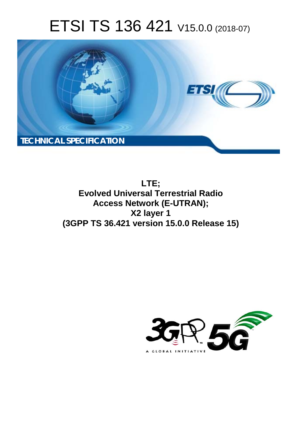# ETSI TS 136 421 V15.0.0 (2018-07)



**LTE; Evolved Universal Terrestrial Radio Access Network (E-UTRAN); X2 layer 1 (3GPP TS 36.421 version 15.0.0 Release 15)** 

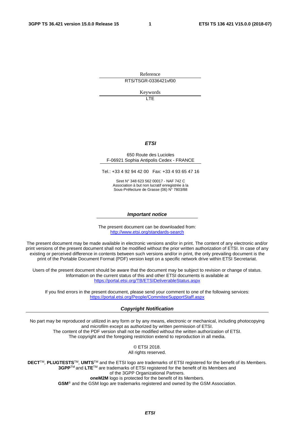Reference RTS/TSGR-0336421vf00

Keywords

LTE

#### *ETSI*

#### 650 Route des Lucioles F-06921 Sophia Antipolis Cedex - FRANCE

Tel.: +33 4 92 94 42 00 Fax: +33 4 93 65 47 16

Siret N° 348 623 562 00017 - NAF 742 C Association à but non lucratif enregistrée à la Sous-Préfecture de Grasse (06) N° 7803/88

#### *Important notice*

The present document can be downloaded from: <http://www.etsi.org/standards-search>

The present document may be made available in electronic versions and/or in print. The content of any electronic and/or print versions of the present document shall not be modified without the prior written authorization of ETSI. In case of any existing or perceived difference in contents between such versions and/or in print, the only prevailing document is the print of the Portable Document Format (PDF) version kept on a specific network drive within ETSI Secretariat.

Users of the present document should be aware that the document may be subject to revision or change of status. Information on the current status of this and other ETSI documents is available at <https://portal.etsi.org/TB/ETSIDeliverableStatus.aspx>

If you find errors in the present document, please send your comment to one of the following services: <https://portal.etsi.org/People/CommiteeSupportStaff.aspx>

#### *Copyright Notification*

No part may be reproduced or utilized in any form or by any means, electronic or mechanical, including photocopying and microfilm except as authorized by written permission of ETSI. The content of the PDF version shall not be modified without the written authorization of ETSI. The copyright and the foregoing restriction extend to reproduction in all media.

> © ETSI 2018. All rights reserved.

**DECT**TM, **PLUGTESTS**TM, **UMTS**TM and the ETSI logo are trademarks of ETSI registered for the benefit of its Members. **3GPP**TM and **LTE**TM are trademarks of ETSI registered for the benefit of its Members and of the 3GPP Organizational Partners. **oneM2M** logo is protected for the benefit of its Members.

**GSM**® and the GSM logo are trademarks registered and owned by the GSM Association.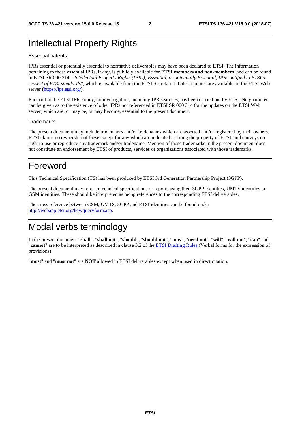### Intellectual Property Rights

#### Essential patents

IPRs essential or potentially essential to normative deliverables may have been declared to ETSI. The information pertaining to these essential IPRs, if any, is publicly available for **ETSI members and non-members**, and can be found in ETSI SR 000 314: *"Intellectual Property Rights (IPRs); Essential, or potentially Essential, IPRs notified to ETSI in respect of ETSI standards"*, which is available from the ETSI Secretariat. Latest updates are available on the ETSI Web server ([https://ipr.etsi.org/\)](https://ipr.etsi.org/).

Pursuant to the ETSI IPR Policy, no investigation, including IPR searches, has been carried out by ETSI. No guarantee can be given as to the existence of other IPRs not referenced in ETSI SR 000 314 (or the updates on the ETSI Web server) which are, or may be, or may become, essential to the present document.

#### **Trademarks**

The present document may include trademarks and/or tradenames which are asserted and/or registered by their owners. ETSI claims no ownership of these except for any which are indicated as being the property of ETSI, and conveys no right to use or reproduce any trademark and/or tradename. Mention of those trademarks in the present document does not constitute an endorsement by ETSI of products, services or organizations associated with those trademarks.

### Foreword

This Technical Specification (TS) has been produced by ETSI 3rd Generation Partnership Project (3GPP).

The present document may refer to technical specifications or reports using their 3GPP identities, UMTS identities or GSM identities. These should be interpreted as being references to the corresponding ETSI deliverables.

The cross reference between GSM, UMTS, 3GPP and ETSI identities can be found under [http://webapp.etsi.org/key/queryform.asp.](http://webapp.etsi.org/key/queryform.asp)

### Modal verbs terminology

In the present document "**shall**", "**shall not**", "**should**", "**should not**", "**may**", "**need not**", "**will**", "**will not**", "**can**" and "**cannot**" are to be interpreted as described in clause 3.2 of the [ETSI Drafting Rules](https://portal.etsi.org/Services/editHelp!/Howtostart/ETSIDraftingRules.aspx) (Verbal forms for the expression of provisions).

"**must**" and "**must not**" are **NOT** allowed in ETSI deliverables except when used in direct citation.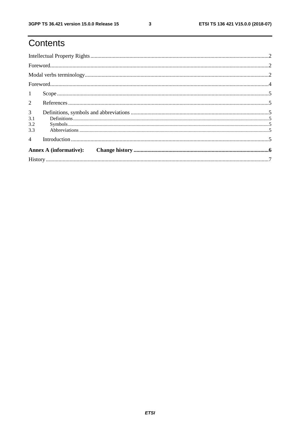# Contents

|                | $\textbf{For} \textit{word} \textit{} \textit{} \textit{} \textit{} \textit{} \textit{} \textit{} \textit{} \textit{} \textit{} \textit{} \textit{} \textit{} \textit{} \textit{} \textit{} \textit{} \textit{} \textit{} \textit{} \textit{} \textit{} \textit{} \textit{} \textit{} \textit{} \textit{} \textit{} \textit{} \textit{} \textit{} \textit{} \textit{} \textit{} \textit{$ |  |  |  |  |  |  |
|----------------|-------------------------------------------------------------------------------------------------------------------------------------------------------------------------------------------------------------------------------------------------------------------------------------------------------------------------------------------------------------------------------------------|--|--|--|--|--|--|
|                |                                                                                                                                                                                                                                                                                                                                                                                           |  |  |  |  |  |  |
|                |                                                                                                                                                                                                                                                                                                                                                                                           |  |  |  |  |  |  |
| 1              |                                                                                                                                                                                                                                                                                                                                                                                           |  |  |  |  |  |  |
| $\overline{2}$ |                                                                                                                                                                                                                                                                                                                                                                                           |  |  |  |  |  |  |
|                |                                                                                                                                                                                                                                                                                                                                                                                           |  |  |  |  |  |  |
| 3 <sup>7</sup> |                                                                                                                                                                                                                                                                                                                                                                                           |  |  |  |  |  |  |
| 3.1            |                                                                                                                                                                                                                                                                                                                                                                                           |  |  |  |  |  |  |
| 3.2            |                                                                                                                                                                                                                                                                                                                                                                                           |  |  |  |  |  |  |
| 3.3            |                                                                                                                                                                                                                                                                                                                                                                                           |  |  |  |  |  |  |
| $\overline{4}$ |                                                                                                                                                                                                                                                                                                                                                                                           |  |  |  |  |  |  |
|                |                                                                                                                                                                                                                                                                                                                                                                                           |  |  |  |  |  |  |
|                |                                                                                                                                                                                                                                                                                                                                                                                           |  |  |  |  |  |  |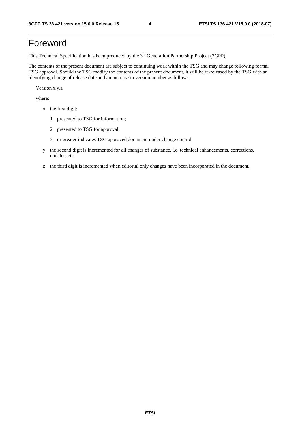### Foreword

This Technical Specification has been produced by the 3rd Generation Partnership Project (3GPP).

The contents of the present document are subject to continuing work within the TSG and may change following formal TSG approval. Should the TSG modify the contents of the present document, it will be re-released by the TSG with an identifying change of release date and an increase in version number as follows:

Version x.y.z

where:

- x the first digit:
	- 1 presented to TSG for information;
	- 2 presented to TSG for approval;
	- 3 or greater indicates TSG approved document under change control.
- y the second digit is incremented for all changes of substance, i.e. technical enhancements, corrections, updates, etc.
- z the third digit is incremented when editorial only changes have been incorporated in the document.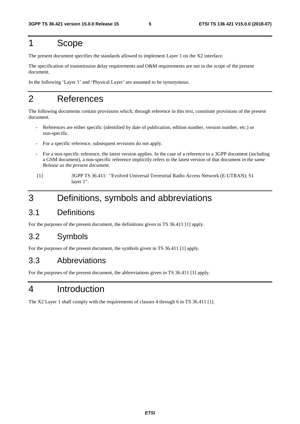### 1 Scope

The present document specifies the standards allowed to implement Layer 1 on the X2 interface.

The specification of transmission delay requirements and O&M requirements are not in the scope of the present document.

In the following 'Layer 1' and 'Physical Layer' are assumed to be synonymous.

### 2 References

The following documents contain provisions which, through reference in this text, constitute provisions of the present document.

- References are either specific (identified by date of publication, edition number, version number, etc.) or non-specific.
- For a specific reference, subsequent revisions do not apply.
- For a non-specific reference, the latest version applies. In the case of a reference to a 3GPP document (including a GSM document), a non-specific reference implicitly refers to the latest version of that document *in the same Release as the present document*.
- [1] 3GPP TS 36.411: "Evolved Universal Terrestrial Radio Access Network (E-UTRAN); S1 layer 1".

### 3 Definitions, symbols and abbreviations

#### 3.1 Definitions

For the purposes of the present document, the definitions given in TS 36.411 [1] apply.

#### 3.2 Symbols

For the purposes of the present document, the symbols given in TS 36.411 [1] apply.

#### 3.3 Abbreviations

For the purposes of the present document, the abbreviations given in TS 36.411 [1] apply.

### 4 Introduction

The X2 Layer 1 shall comply with the requirements of clauses 4 through 6 in TS 36.411 [1].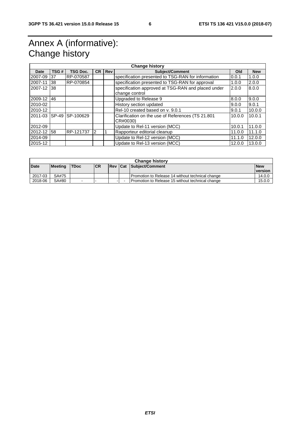## Annex A (informative): Change history

| <b>Change history</b> |      |                 |           |            |                                                              |        |        |
|-----------------------|------|-----------------|-----------|------------|--------------------------------------------------------------|--------|--------|
| Date                  | TSG# | <b>TSG Doc.</b> | <b>CR</b> | <b>Rev</b> | Subject/Comment<br>Old<br><b>New</b>                         |        |        |
| 2007-09               | 37   | RP-070587       |           |            | specification presented to TSG-RAN for information           | 0.0.1  | 1.0.0  |
| 2007-11               | 38   | RP-070854       |           |            | specification presented to TSG-RAN for approval              | 1.0.0  | 2.0.0  |
| 2007-12               | 38   |                 |           |            | specification approved at TSG-RAN and placed under<br>2.0.0  |        | 8.0.0  |
|                       |      |                 |           |            | change control                                               |        |        |
| 2009-12               | 46   |                 |           |            | Upgraded to Release 9                                        | 8.0.0  | 9.0.0  |
| 2010-02               |      |                 |           |            | History section updated<br>9.0.0                             |        | 9.0.1  |
| 2010-12               |      |                 |           |            | Rel-10 created based on v. 9.0.1<br>9.0.1                    |        | 10.0.0 |
| 2011-03               |      | SP-49 SP-100629 |           |            | Clarification on the use of References (TS 21.801)<br>10.0.0 |        | 10.0.1 |
|                       |      |                 |           |            | CR#0030)                                                     |        |        |
| 2012-09               |      |                 |           |            | Update to Rel-11 version (MCC)                               | 10.0.1 | 11.0.0 |
| 2012-12               | 58   | RP-121737       | 12        |            | Rapporteur editorial cleanup                                 | 11.0.0 | 11.1.0 |
| 2014-09               |      |                 |           |            | Update to Rel-12 version (MCC)<br>11.1.0                     |        | 12.0.0 |
| 2015-12               |      |                 |           |            | Update to Rel-13 version (MCC)                               | 12.0.0 | 13.0.0 |

| <b>Change history</b> |                |             |            |                |  |                                                  |            |
|-----------------------|----------------|-------------|------------|----------------|--|--------------------------------------------------|------------|
| <b>Date</b>           | <b>Meeting</b> | <b>TDoc</b> | <b>ICR</b> | <b>Rev Cat</b> |  | Subject/Comment                                  | <b>New</b> |
|                       |                |             |            |                |  |                                                  | version    |
| 2017-03               | SA#75          |             |            |                |  | Promotion to Release 14 without technical change | 14.0.0     |
| 2018-06               | SA#80          | $\sim$      | . .        |                |  | Promotion to Release 15 without technical change | 15.0.0     |